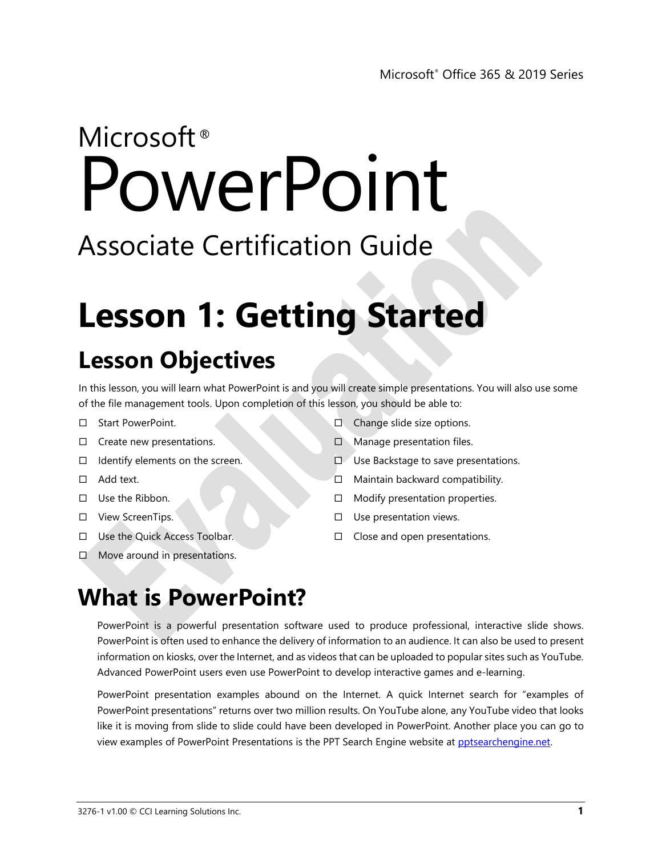# Microsoft<sup>®</sup> PowerPoint

# Associate Certification Guide

# **Lesson 1: Getting Started**

# **Lesson Objectives**

In this lesson, you will learn what PowerPoint is and you will create simple presentations. You will also use some of the file management tools. Upon completion of this lesson, you should be able to:

- □ Start PowerPoint.
- $\Box$  Create new presentations.
- $\Box$  Identify elements on the screen.
- □ Add text.
- $\Box$  Use the Ribbon.
- □ View ScreenTips.
- □ Use the Quick Access Toolbar.
- $\square$  Move around in presentations.
- $\Box$  Change slide size options.
- $\Box$  Manage presentation files.
- Use Backstage to save presentations.
- $\Box$  Maintain backward compatibility.
- $\Box$  Modify presentation properties.
- $\square$  Use presentation views.
- $\Box$  Close and open presentations.

## **What is PowerPoint?**

PowerPoint is a powerful presentation software used to produce professional, interactive slide shows. PowerPoint is often used to enhance the delivery of information to an audience. It can also be used to present information on kiosks, over the Internet, and as videos that can be uploaded to popular sites such as YouTube. Advanced PowerPoint users even use PowerPoint to develop interactive games and e-learning.

PowerPoint presentation examples abound on the Internet. A quick Internet search for "examples of PowerPoint presentations" returns over two million results. On YouTube alone, any YouTube video that looks like it is moving from slide to slide could have been developed in PowerPoint. Another place you can go to view examples of PowerPoint Presentations is the PPT Search Engine website at [pptsearchengine.net.](http://www.pptsearchengine.net/)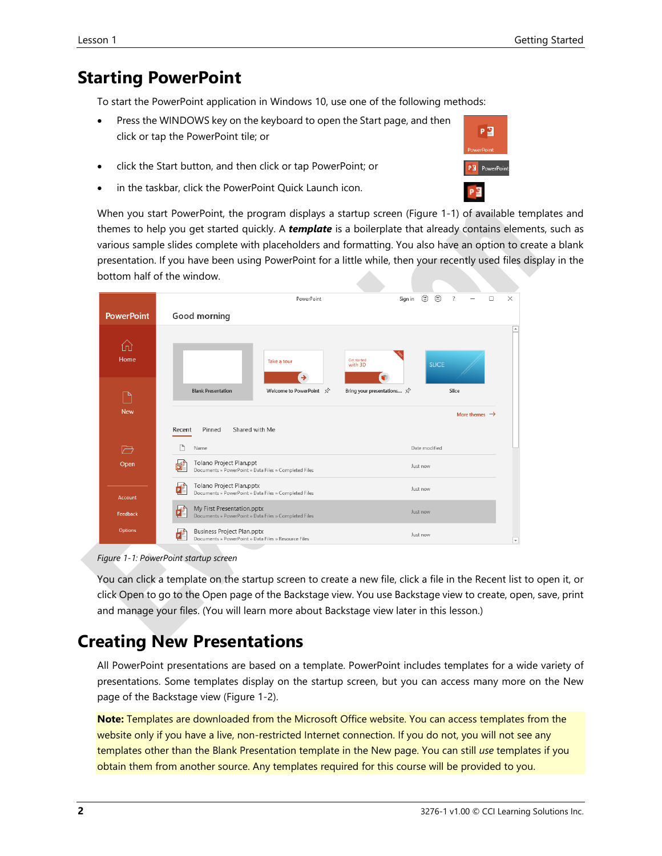#### **Starting PowerPoint**

To start the PowerPoint application in Windows 10, use one of the following methods:

- Press the WINDOWS key on the keyboard to open the Start page, and then click or tap the PowerPoint tile; or
- click the Start button, and then click or tap PowerPoint; or
- in the taskbar, click the PowerPoint Quick Launch icon.

When you start PowerPoint, the program displays a startup screen (Figure 1-1) of available templates and themes to help you get started quickly. A *template* is a boilerplate that already contains elements, such as various sample slides complete with placeholders and formatting. You also have an option to create a blank presentation. If you have been using PowerPoint for a little while, then your recently used files display in the bottom half of the window.

|                   | ☺<br>⊛<br>Sign in<br>?<br>PowerPoint                                                                                                 | $\times$<br>п            |
|-------------------|--------------------------------------------------------------------------------------------------------------------------------------|--------------------------|
| <b>PowerPoint</b> | Good morning                                                                                                                         |                          |
| ſп<br>Home        | Get started<br>Take a tour<br><b>SLICE</b><br>with 3D                                                                                | ۸                        |
|                   | <b>Blank Presentation</b><br>Welcome to PowerPoint $\mathcal{R}$<br>Bring your presentations $\overrightarrow{\mathcal{S}}$<br>Slice |                          |
| <b>New</b>        | More themes $\rightarrow$                                                                                                            |                          |
|                   | Shared with Me<br>Pinned<br>Recent                                                                                                   |                          |
| 一                 | Date modified<br>Name                                                                                                                |                          |
| Open              | Tolano Project Plan.ppt<br>Just now<br>O.<br>Documents » PowerPoint » Data Files » Completed Files                                   |                          |
| Account           | Tolano Project Plan.pptx<br>œ<br>Just now<br>Documents » PowerPoint » Data Files » Completed Files                                   |                          |
| Feedback          | My First Presentation.pptx<br>£<br>Just now<br>Documents » PowerPoint » Data Files » Completed Files                                 |                          |
| Options           | <b>Business Project Plan.pptx</b><br>Just now<br>P<br>Documents » PowerPoint » Data Files » Resource Files                           | $\overline{\phantom{a}}$ |

#### *Figure 1-1: PowerPoint startup screen*

You can click a template on the startup screen to create a new file, click a file in the Recent list to open it, or click Open to go to the Open page of the Backstage view. You use Backstage view to create, open, save, print and manage your files. (You will learn more about Backstage view later in this lesson.)

#### **Creating New Presentations**

All PowerPoint presentations are based on a template. PowerPoint includes templates for a wide variety of presentations. Some templates display on the startup screen, but you can access many more on the New page of the Backstage view (Figure 1-2).

**Note:** Templates are downloaded from the Microsoft Office website. You can access templates from the website only if you have a live, non-restricted Internet connection. If you do not, you will not see any templates other than the Blank Presentation template in the New page. You can still *use* templates if you obtain them from another source. Any templates required for this course will be provided to you.

#### Lesson 1 Getting Started Controller and the Controller of the Controller and Controller and Getting Started Co

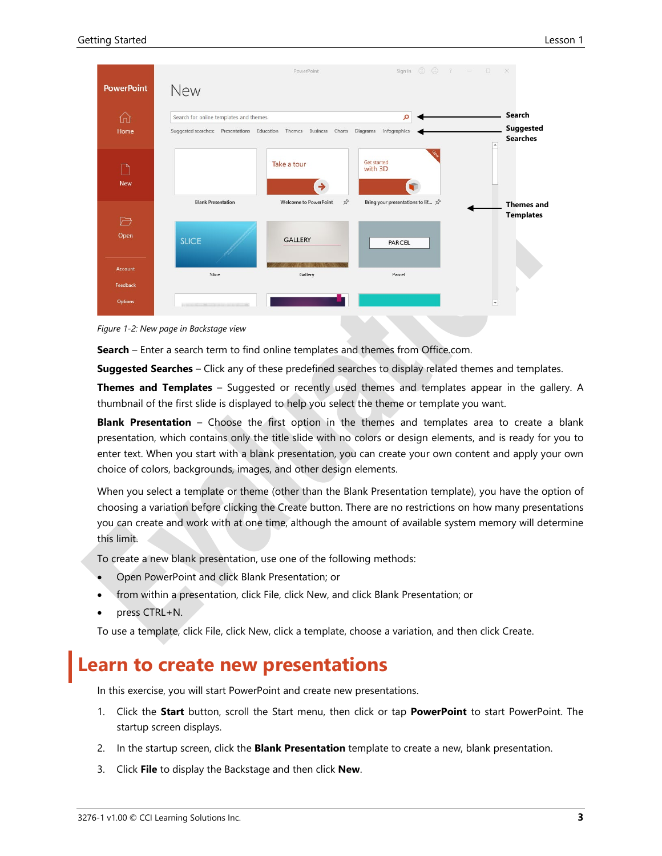

*Figure 1-2: New page in Backstage view*

**Search** – Enter a search term to find online templates and themes from Office.com.

**Suggested Searches** – Click any of these predefined searches to display related themes and templates.

**Themes and Templates** – Suggested or recently used themes and templates appear in the gallery. A thumbnail of the first slide is displayed to help you select the theme or template you want.

**Blank Presentation** – Choose the first option in the themes and templates area to create a blank presentation, which contains only the title slide with no colors or design elements, and is ready for you to enter text. When you start with a blank presentation, you can create your own content and apply your own choice of colors, backgrounds, images, and other design elements.

When you select a template or theme (other than the Blank Presentation template), you have the option of choosing a variation before clicking the Create button. There are no restrictions on how many presentations you can create and work with at one time, although the amount of available system memory will determine this limit.

To create a new blank presentation, use one of the following methods:

- Open PowerPoint and click Blank Presentation; or
- from within a presentation, click File, click New, and click Blank Presentation; or
- press CTRL+N.

To use a template, click File, click New, click a template, choose a variation, and then click Create.

#### **Learn to create new presentations**

In this exercise, you will start PowerPoint and create new presentations.

- 1. Click the **Start** button, scroll the Start menu, then click or tap **PowerPoint** to start PowerPoint. The startup screen displays.
- 2. In the startup screen, click the **Blank Presentation** template to create a new, blank presentation.
- 3. Click **File** to display the Backstage and then click **New**.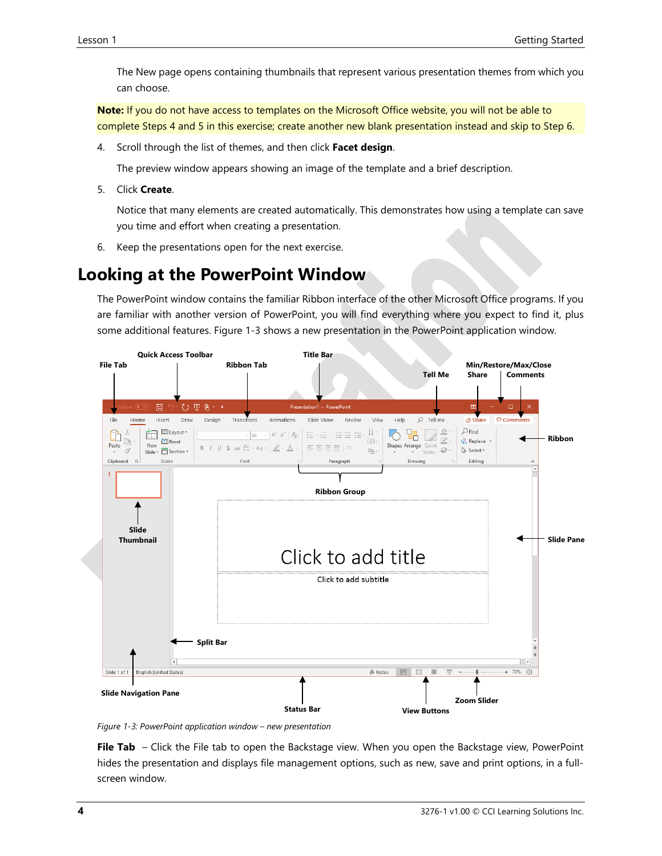The New page opens containing thumbnails that represent various presentation themes from which you can choose.

**Note:** If you do not have access to templates on the Microsoft Office website, you will not be able to complete Steps 4 and 5 in this exercise; create another new blank presentation instead and skip to Step 6.

4. Scroll through the list of themes, and then click **Facet design**.

The preview window appears showing an image of the template and a brief description.

5. Click **Create**.

Notice that many elements are created automatically. This demonstrates how using a template can save you time and effort when creating a presentation.

6. Keep the presentations open for the next exercise.

#### **Looking at the PowerPoint Window**

The PowerPoint window contains the familiar Ribbon interface of the other Microsoft Office programs. If you are familiar with another version of PowerPoint, you will find everything where you expect to find it, plus some additional features. Figure 1-3 shows a new presentation in the PowerPoint application window.



*Figure 1-3: PowerPoint application window – new presentation*

**File Tab** – Click the File tab to open the Backstage view. When you open the Backstage view, PowerPoint hides the presentation and displays file management options, such as new, save and print options, in a fullscreen window.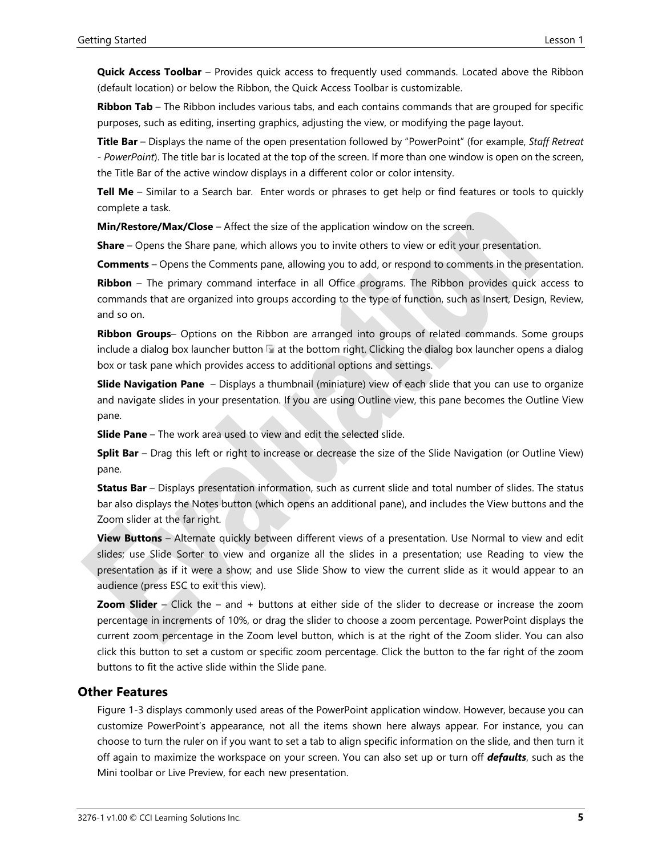**Quick Access Toolbar** – Provides quick access to frequently used commands. Located above the Ribbon (default location) or below the Ribbon, the Quick Access Toolbar is customizable.

**Ribbon Tab** – The Ribbon includes various tabs, and each contains commands that are grouped for specific purposes, such as editing, inserting graphics, adjusting the view, or modifying the page layout.

**Title Bar** – Displays the name of the open presentation followed by "PowerPoint" (for example, *Staff Retreat - PowerPoint*). The title bar is located at the top of the screen. If more than one window is open on the screen, the Title Bar of the active window displays in a different color or color intensity.

**Tell Me** – Similar to a Search bar. Enter words or phrases to get help or find features or tools to quickly complete a task.

**Min/Restore/Max/Close** – Affect the size of the application window on the screen.

**Share** – Opens the Share pane, which allows you to invite others to view or edit your presentation.

**Comments** – Opens the Comments pane, allowing you to add, or respond to comments in the presentation. **Ribbon** – The primary command interface in all Office programs. The Ribbon provides quick access to commands that are organized into groups according to the type of function, such as Insert, Design, Review, and so on.

**Ribbon Groups**– Options on the Ribbon are arranged into groups of related commands. Some groups include a dialog box launcher button  $\Box$  at the bottom right. Clicking the dialog box launcher opens a dialog box or task pane which provides access to additional options and settings.

**Slide Navigation Pane** – Displays a thumbnail (miniature) view of each slide that you can use to organize and navigate slides in your presentation. If you are using Outline view, this pane becomes the Outline View pane.

**Slide Pane** – The work area used to view and edit the selected slide.

**Split Bar** – Drag this left or right to increase or decrease the size of the Slide Navigation (or Outline View) pane.

**Status Bar** – Displays presentation information, such as current slide and total number of slides. The status bar also displays the Notes button (which opens an additional pane), and includes the View buttons and the Zoom slider at the far right.

**View Buttons** – Alternate quickly between different views of a presentation. Use Normal to view and edit slides; use Slide Sorter to view and organize all the slides in a presentation; use Reading to view the presentation as if it were a show; and use Slide Show to view the current slide as it would appear to an audience (press ESC to exit this view).

**Zoom Slider** – Click the – and + buttons at either side of the slider to decrease or increase the zoom percentage in increments of 10%, or drag the slider to choose a zoom percentage. PowerPoint displays the current zoom percentage in the Zoom level button, which is at the right of the Zoom slider. You can also click this button to set a custom or specific zoom percentage. Click the button to the far right of the zoom buttons to fit the active slide within the Slide pane.

#### **Other Features**

Figure 1-3 displays commonly used areas of the PowerPoint application window. However, because you can customize PowerPoint's appearance, not all the items shown here always appear. For instance, you can choose to turn the ruler on if you want to set a tab to align specific information on the slide, and then turn it off again to maximize the workspace on your screen. You can also set up or turn off *defaults*, such as the Mini toolbar or Live Preview, for each new presentation.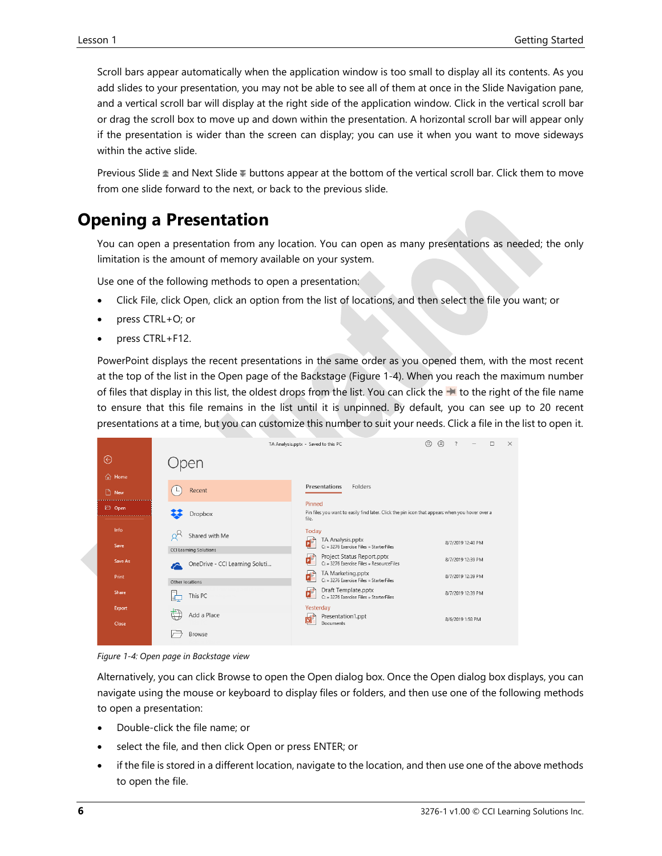Scroll bars appear automatically when the application window is too small to display all its contents. As you add slides to your presentation, you may not be able to see all of them at once in the Slide Navigation pane, and a vertical scroll bar will display at the right side of the application window. Click in the vertical scroll bar or drag the scroll box to move up and down within the presentation. A horizontal scroll bar will appear only if the presentation is wider than the screen can display; you can use it when you want to move sideways within the active slide.

Previous Slide  $\triangle$  and Next Slide  $\overline{\triangledown}$  buttons appear at the bottom of the vertical scroll bar. Click them to move from one slide forward to the next, or back to the previous slide.

#### **Opening a Presentation**

You can open a presentation from any location. You can open as many presentations as needed; the only limitation is the amount of memory available on your system.

Use one of the following methods to open a presentation:

- Click File, click Open, click an option from the list of locations, and then select the file you want; or
- press CTRL+O; or
- press CTRL+F12.

PowerPoint displays the recent presentations in the same order as you opened them, with the most recent at the top of the list in the Open page of the Backstage (Figure 1-4). When you reach the maximum number of files that display in this list, the oldest drops from the list. You can click the  $\blacktriangle$  to the right of the file name to ensure that this file remains in the list until it is unpinned. By default, you can see up to 20 recent presentations at a time, but you can customize this number to suit your needs. Click a file in the list to open it.

|               |                                | $\odot$<br>$\odot$<br>$\overline{\phantom{a}}$<br>$\Box$<br>$\times$<br>TA Analysis.pptx - Saved to this PC<br>$\qquad \qquad -$ |
|---------------|--------------------------------|----------------------------------------------------------------------------------------------------------------------------------|
| ⊝             | pen                            |                                                                                                                                  |
| <b>d</b> Home |                                |                                                                                                                                  |
| $\Box$ New    | Recent                         | Presentations<br>Folders                                                                                                         |
| <b>D</b> Open | Dropbox                        | Pinned<br>Pin files you want to easily find later. Click the pin icon that appears when you hover over a<br>file.                |
| Info          | Shared with Me                 | Today<br>TA Analysis.pptx                                                                                                        |
| Save          | <b>CCI Learning Solutions</b>  | 8/7/2019 12:40 PM<br>C: » 3276 Exercise Files » StarterFiles                                                                     |
| Save As       | OneDrive - CCI Learning Soluti | Project Status Report.pptx<br>F<br>8/7/2019 12:39 PM<br>C: » 3276 Exercise Files » ResourceFiles                                 |
| Print         | Other locations                | TA Marketing.pptx<br>8/7/2019 12:39 PM<br>C: » 3276 Exercise Files » StarterFiles                                                |
| Share         | This PC                        | Draft Template.pptx<br>8/7/2019 12:39 PM<br>C: » 3276 Exercise Files » StarterFiles                                              |
| Export        | Add a Place                    | Yesterday                                                                                                                        |
| Close         |                                | Presentation1.ppt<br>8/6/2019 1:58 PM<br>Documents                                                                               |
|               | Browse                         |                                                                                                                                  |

*Figure 1-4: Open page in Backstage view*

Alternatively, you can click Browse to open the Open dialog box. Once the Open dialog box displays, you can navigate using the mouse or keyboard to display files or folders, and then use one of the following methods to open a presentation:

- Double-click the file name; or
- select the file, and then click Open or press ENTER; or
- if the file is stored in a different location, navigate to the location, and then use one of the above methods to open the file.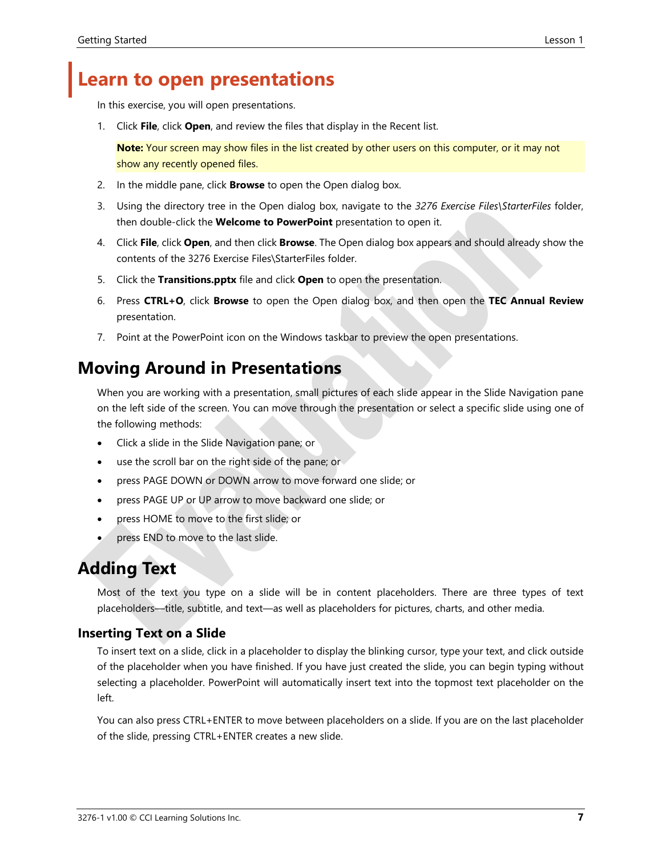## **Learn to open presentations**

In this exercise, you will open presentations.

1. Click **File**, click **Open**, and review the files that display in the Recent list.

**Note:** Your screen may show files in the list created by other users on this computer, or it may not show any recently opened files.

- 2. In the middle pane, click **Browse** to open the Open dialog box.
- 3. Using the directory tree in the Open dialog box, navigate to the *3276 Exercise Files\StarterFiles* folder, then double-click the **Welcome to PowerPoint** presentation to open it.
- 4. Click **File**, click **Open**, and then click **Browse**. The Open dialog box appears and should already show the contents of the 3276 Exercise Files\StarterFiles folder.
- 5. Click the **Transitions.pptx** file and click **Open** to open the presentation.
- 6. Press **CTRL+O**, click **Browse** to open the Open dialog box, and then open the **TEC Annual Review** presentation.
- 7. Point at the PowerPoint icon on the Windows taskbar to preview the open presentations.

### **Moving Around in Presentations**

When you are working with a presentation, small pictures of each slide appear in the Slide Navigation pane on the left side of the screen. You can move through the presentation or select a specific slide using one of the following methods:

- Click a slide in the Slide Navigation pane; or
- use the scroll bar on the right side of the pane; or
- press PAGE DOWN or DOWN arrow to move forward one slide; or
- press PAGE UP or UP arrow to move backward one slide; or
- press HOME to move to the first slide; or
- press END to move to the last slide.

## **Adding Text**

Most of the text you type on a slide will be in content placeholders. There are three types of text placeholders—title, subtitle, and text—as well as placeholders for pictures, charts, and other media.

#### **Inserting Text on a Slide**

To insert text on a slide, click in a placeholder to display the blinking cursor, type your text, and click outside of the placeholder when you have finished. If you have just created the slide, you can begin typing without selecting a placeholder. PowerPoint will automatically insert text into the topmost text placeholder on the left.

You can also press CTRL+ENTER to move between placeholders on a slide. If you are on the last placeholder of the slide, pressing CTRL+ENTER creates a new slide.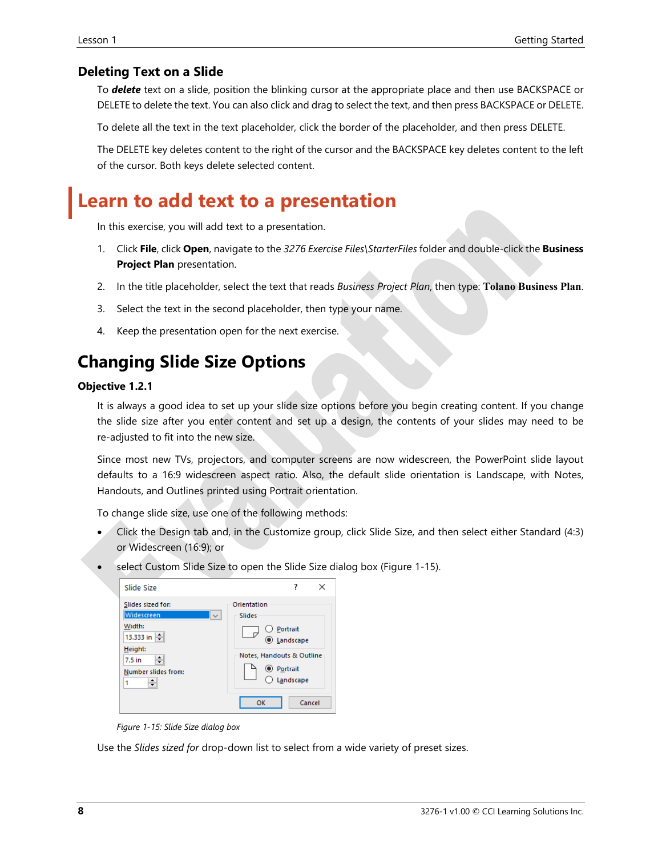#### **Deleting Text on a Slide**

To *delete* text on a slide, position the blinking cursor at the appropriate place and then use BACKSPACE or DELETE to delete the text. You can also click and drag to select the text, and then press BACKSPACE or DELETE.

To delete all the text in the text placeholder, click the border of the placeholder, and then press DELETE.

The DELETE key deletes content to the right of the cursor and the BACKSPACE key deletes content to the left of the cursor. Both keys delete selected content.

## **Learn to add text to a presentation**

In this exercise, you will add text to a presentation.

- 1. Click **File**, click **Open**, navigate to the *3276 Exercise Files\StarterFiles* folder and double-click the **Business Project Plan** presentation.
- 2. In the title placeholder, select the text that reads *Business Project Plan*, then type: **Tolano Business Plan**.
- 3. Select the text in the second placeholder, then type your name.
- 4. Keep the presentation open for the next exercise.

#### **Changing Slide Size Options**

#### **Objective 1.2.1**

It is always a good idea to set up your slide size options before you begin creating content. If you change the slide size after you enter content and set up a design, the contents of your slides may need to be re-adjusted to fit into the new size.

Since most new TVs, projectors, and computer screens are now widescreen, the PowerPoint slide layout defaults to a 16:9 widescreen aspect ratio. Also, the default slide orientation is Landscape, with Notes, Handouts, and Outlines printed using Portrait orientation.

To change slide size, use one of the following methods:

- Click the Design tab and, in the Customize group, click Slide Size, and then select either Standard (4:3) or Widescreen (16:9); or
- select Custom Slide Size to open the Slide Size dialog box (Figure 1-15).

| Slide Size                                                             | ×                                                         |  |  |
|------------------------------------------------------------------------|-----------------------------------------------------------|--|--|
| Slides sized for:<br>Widescreen<br>$\checkmark$<br>Width:<br>13.333 in | Orientation<br>Slides<br>Portrait<br>C Landscape          |  |  |
| Height:<br>۰<br>$7.5$ in<br>Number slides from:<br>1                   | Notes, Handouts & Outline<br><b>Portrait</b><br>Landscape |  |  |
|                                                                        | Cancel<br>OK                                              |  |  |

*Figure 1-15: Slide Size dialog box*

Use the *Slides sized for* drop-down list to select from a wide variety of preset sizes.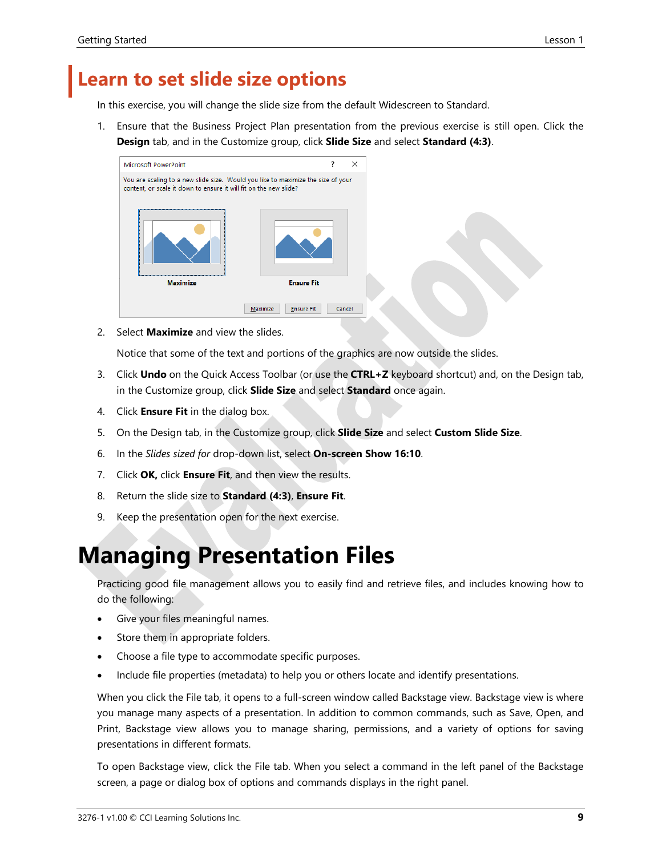## **Learn to set slide size options**

In this exercise, you will change the slide size from the default Widescreen to Standard.

1. Ensure that the Business Project Plan presentation from the previous exercise is still open. Click the **Design** tab, and in the Customize group, click **Slide Size** and select **Standard (4:3)**.



2. Select **Maximize** and view the slides.

Notice that some of the text and portions of the graphics are now outside the slides.

- 3. Click **Undo** on the Quick Access Toolbar (or use the **CTRL+Z** keyboard shortcut) and, on the Design tab, in the Customize group, click **Slide Size** and select **Standard** once again.
- 4. Click **Ensure Fit** in the dialog box.
- 5. On the Design tab, in the Customize group, click **Slide Size** and select **Custom Slide Size**.
- 6. In the *Slides sized for* drop-down list, select **On-screen Show 16:10**.
- 7. Click **OK,** click **Ensure Fit**, and then view the results.
- 8. Return the slide size to **Standard (4:3)**, **Ensure Fit**.
- 9. Keep the presentation open for the next exercise.

## **Managing Presentation Files**

Practicing good file management allows you to easily find and retrieve files, and includes knowing how to do the following:

- Give your files meaningful names.
- Store them in appropriate folders.
- Choose a file type to accommodate specific purposes.
- Include file properties (metadata) to help you or others locate and identify presentations.

When you click the File tab, it opens to a full-screen window called Backstage view. Backstage view is where you manage many aspects of a presentation. In addition to common commands, such as Save, Open, and Print, Backstage view allows you to manage sharing, permissions, and a variety of options for saving presentations in different formats.

To open Backstage view, click the File tab. When you select a command in the left panel of the Backstage screen, a page or dialog box of options and commands displays in the right panel.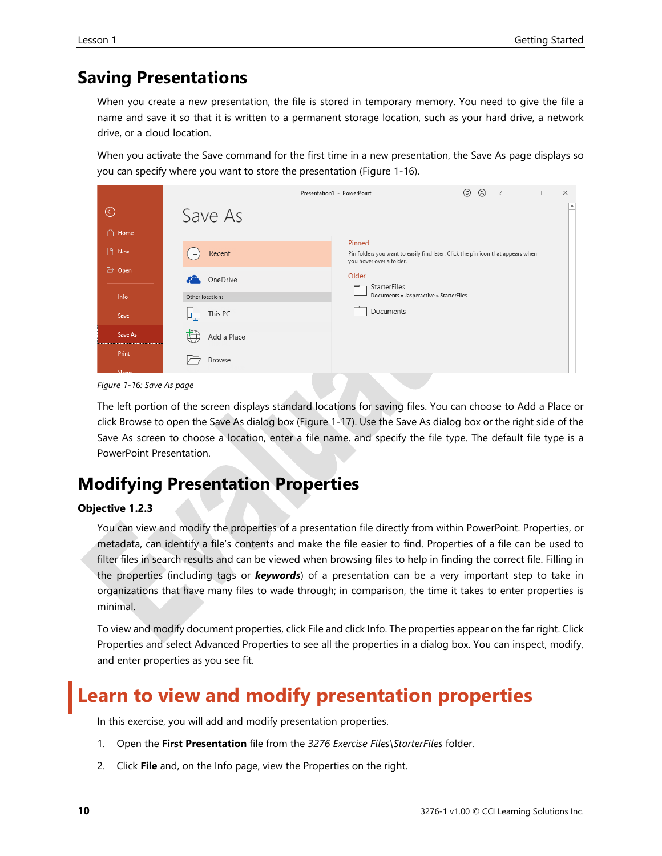#### **Saving Presentations**

When you create a new presentation, the file is stored in temporary memory. You need to give the file a name and save it so that it is written to a permanent storage location, such as your hard drive, a network drive, or a cloud location.

When you activate the Save command for the first time in a new presentation, the Save As page displays so you can specify where you want to store the presentation (Figure 1-16).

|                    |                             | Presentation1 - PowerPoint                                              | $\odot$<br>☺<br>$\overline{?}$<br>$\Box$<br>$\times$                            |
|--------------------|-----------------------------|-------------------------------------------------------------------------|---------------------------------------------------------------------------------|
| ⊝<br><b>d</b> Home | Save As                     |                                                                         | E                                                                               |
| $\Box$ New         | Recent                      | Pinned<br>you hover over a folder.                                      | Pin folders you want to easily find later. Click the pin icon that appears when |
| Open<br>Info       | OneDrive<br>Other locations | Older<br><b>StarterFiles</b><br>Documents » Jasperactive » StarterFiles |                                                                                 |
| Save               | This PC                     | Documents                                                               |                                                                                 |
| Save As            | Add a Place                 |                                                                         |                                                                                 |
| Print<br>Share     | <b>Browse</b>               |                                                                         |                                                                                 |



The left portion of the screen displays standard locations for saving files. You can choose to Add a Place or click Browse to open the Save As dialog box (Figure 1-17). Use the Save As dialog box or the right side of the Save As screen to choose a location, enter a file name, and specify the file type. The default file type is a PowerPoint Presentation.

### **Modifying Presentation Properties**

#### **Objective 1.2.3**

You can view and modify the properties of a presentation file directly from within PowerPoint. Properties, or metadata, can identify a file's contents and make the file easier to find. Properties of a file can be used to filter files in search results and can be viewed when browsing files to help in finding the correct file. Filling in the properties (including tags or *keywords*) of a presentation can be a very important step to take in organizations that have many files to wade through; in comparison, the time it takes to enter properties is minimal.

To view and modify document properties, click File and click Info. The properties appear on the far right. Click Properties and select Advanced Properties to see all the properties in a dialog box. You can inspect, modify, and enter properties as you see fit.

## **Learn to view and modify presentation properties**

In this exercise, you will add and modify presentation properties.

- 1. Open the **First Presentation** file from the *3276 Exercise Files\StarterFiles* folder.
- 2. Click **File** and, on the Info page, view the Properties on the right.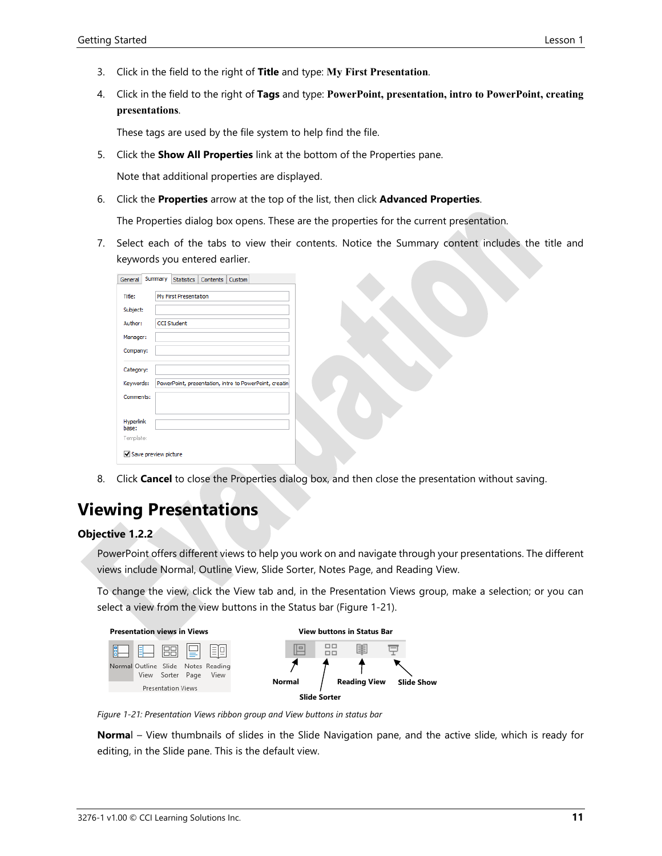- 3. Click in the field to the right of **Title** and type: **My First Presentation**.
- 4. Click in the field to the right of **Tags** and type: **PowerPoint, presentation, intro to PowerPoint, creating presentations**.

These tags are used by the file system to help find the file.

5. Click the **Show All Properties** link at the bottom of the Properties pane.

Note that additional properties are displayed.

6. Click the **Properties** arrow at the top of the list, then click **Advanced Properties**.

The Properties dialog box opens. These are the properties for the current presentation.

7. Select each of the tabs to view their contents. Notice the Summary content includes the title and keywords you entered earlier.

| General                   | Summary | <b>Statistics</b>     | <b>Contents</b> | Custom |                                                        |  |
|---------------------------|---------|-----------------------|-----------------|--------|--------------------------------------------------------|--|
| Title:                    |         | My First Presentation |                 |        |                                                        |  |
| Subject:                  |         |                       |                 |        |                                                        |  |
| Author:                   |         | <b>CCI Student</b>    |                 |        |                                                        |  |
| Manager:                  |         |                       |                 |        |                                                        |  |
| Company:                  |         |                       |                 |        |                                                        |  |
| Category:                 |         |                       |                 |        |                                                        |  |
| Keywords:                 |         |                       |                 |        | PowerPoint, presentation, intro to PowerPoint, creatin |  |
| Comments:                 |         |                       |                 |        |                                                        |  |
|                           |         |                       |                 |        |                                                        |  |
| <b>Hyperlink</b><br>hase: |         |                       |                 |        |                                                        |  |
| Template:                 |         |                       |                 |        |                                                        |  |
| Save preview picture      |         |                       |                 |        |                                                        |  |

8. Click **Cancel** to close the Properties dialog box, and then close the presentation without saving.

#### **Viewing Presentations**

#### **Objective 1.2.2**

PowerPoint offers different views to help you work on and navigate through your presentations. The different views include Normal, Outline View, Slide Sorter, Notes Page, and Reading View.

To change the view, click the View tab and, in the Presentation Views group, make a selection; or you can select a view from the view buttons in the Status bar (Figure 1-21).



*Figure 1-21: Presentation Views ribbon group and View buttons in status bar*

**Norma**l – View thumbnails of slides in the Slide Navigation pane, and the active slide, which is ready for editing, in the Slide pane. This is the default view.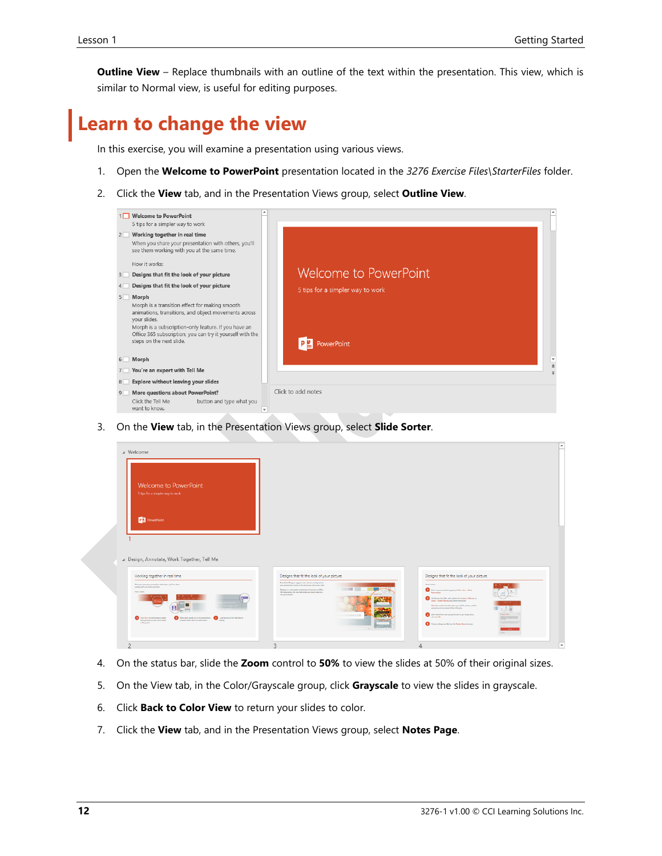**Outline View** – Replace thumbnails with an outline of the text within the presentation. This view, which is similar to Normal view, is useful for editing purposes.

## **Learn to change the view**

In this exercise, you will examine a presentation using various views.

- 1. Open the **Welcome to PowerPoint** presentation located in the *3276 Exercise Files\StarterFiles* folder.
- 2. Click the **View** tab, and in the Presentation Views group, select **Outline View**.



3. On the **View** tab, in the Presentation Views group, select **Slide Sorter**.

| Welcome to PowerPoint<br>Sitips for a simpler way to work                                                                                                                                                 |                                                                                                                                                                                                                                                                                                     |                                                                                                                                                                                                                                                                                                                     |     |
|-----------------------------------------------------------------------------------------------------------------------------------------------------------------------------------------------------------|-----------------------------------------------------------------------------------------------------------------------------------------------------------------------------------------------------------------------------------------------------------------------------------------------------|---------------------------------------------------------------------------------------------------------------------------------------------------------------------------------------------------------------------------------------------------------------------------------------------------------------------|-----|
| <b>P3</b> PowerPoint                                                                                                                                                                                      |                                                                                                                                                                                                                                                                                                     |                                                                                                                                                                                                                                                                                                                     |     |
|                                                                                                                                                                                                           |                                                                                                                                                                                                                                                                                                     |                                                                                                                                                                                                                                                                                                                     |     |
|                                                                                                                                                                                                           |                                                                                                                                                                                                                                                                                                     |                                                                                                                                                                                                                                                                                                                     |     |
|                                                                                                                                                                                                           | Designs that fit the look of your picture                                                                                                                                                                                                                                                           | Designs that fit the look of your picture                                                                                                                                                                                                                                                                           |     |
| △ Design, Annotate, Work Together, Tell Me<br>Working together in real time<br>Were previous your presentation with others, you'll see them<br>welling with you at the same time.<br><b>March Country</b> | PeacePoint Designer supprobaseder schemes and layouts for<br>was severiaters have not the striker car and to use state.<br><b>CONTRACTOR</b><br>Designer is a subscription only bulsan. If you have an Office<br>TBS subscription, the rent slide shows you have it under in a<br>new presentation. | <b>Month and you</b><br><b><i><u>Burnisher</u></i></b><br>$\mathbb{R}^2$ . On the very lest state, and a picture the to be<br>set $x$ Patters or<br>Ingel + Online Pictures and chance the picture.<br>He's You went to be order when you add the picker, and the<br>picture has in he will lead 200 by 200 pixels. | 948 |

- 4. On the status bar, slide the **Zoom** control to **50%** to view the slides at 50% of their original sizes.
- 5. On the View tab, in the Color/Grayscale group, click **Grayscale** to view the slides in grayscale.
- 6. Click **Back to Color View** to return your slides to color.
- 7. Click the **View** tab, and in the Presentation Views group, select **Notes Page**.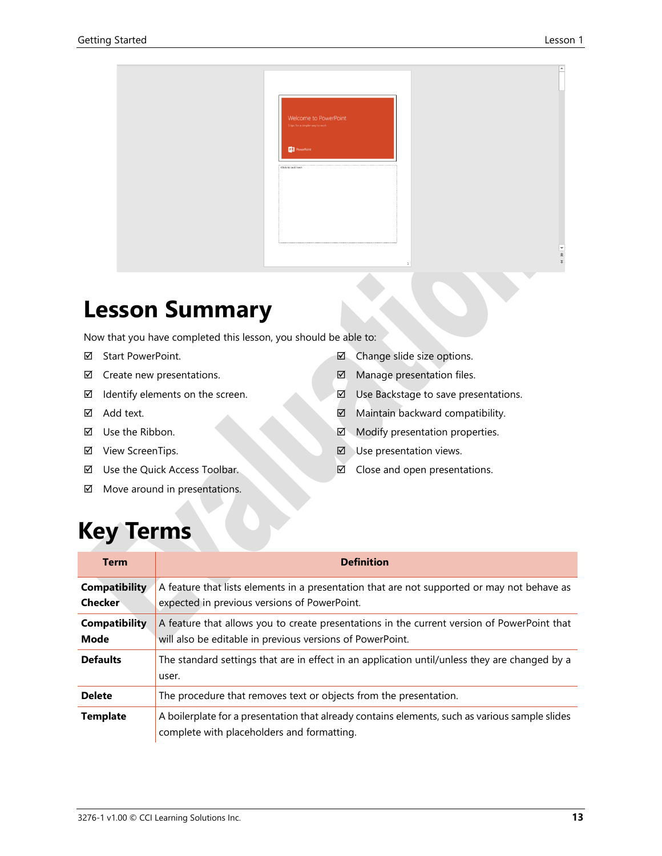| Welcome to PowerPoint<br>5 tips for a simpler way to work<br><b>DE PowerPoint</b><br><br><br>Click to add text |
|----------------------------------------------------------------------------------------------------------------|
|                                                                                                                |
|                                                                                                                |
|                                                                                                                |
|                                                                                                                |
|                                                                                                                |
| $\frac{1}{2}$<br>Ξ.<br>$\mathbf{1}$                                                                            |

# **Lesson Summary**

Now that you have completed this lesson, you should be able to:

- Start PowerPoint.
- $\boxtimes$  Create new presentations.
- $\boxtimes$  Identify elements on the screen.
- Add text.
- Use the Ribbon.
- View ScreenTips.
- Use the Quick Access Toolbar.
- $\boxtimes$  Move around in presentations.
- Change slide size options.
- Manage presentation files.
- $\boxtimes$  Use Backstage to save presentations.
- $\boxtimes$  Maintain backward compatibility.
- Modify presentation properties.
- $\nabla$  Use presentation views.
- $\boxtimes$  Close and open presentations.

# **Key Terms**

| <b>Term</b>                            | <b>Definition</b>                                                                                                                                        |
|----------------------------------------|----------------------------------------------------------------------------------------------------------------------------------------------------------|
| <b>Compatibility</b><br><b>Checker</b> | A feature that lists elements in a presentation that are not supported or may not behave as<br>expected in previous versions of PowerPoint.              |
| <b>Compatibility</b><br>Mode           | A feature that allows you to create presentations in the current version of PowerPoint that<br>will also be editable in previous versions of PowerPoint. |
| <b>Defaults</b>                        | The standard settings that are in effect in an application until/unless they are changed by a<br>user.                                                   |
| <b>Delete</b>                          | The procedure that removes text or objects from the presentation.                                                                                        |
| <b>Template</b>                        | A boilerplate for a presentation that already contains elements, such as various sample slides<br>complete with placeholders and formatting.             |